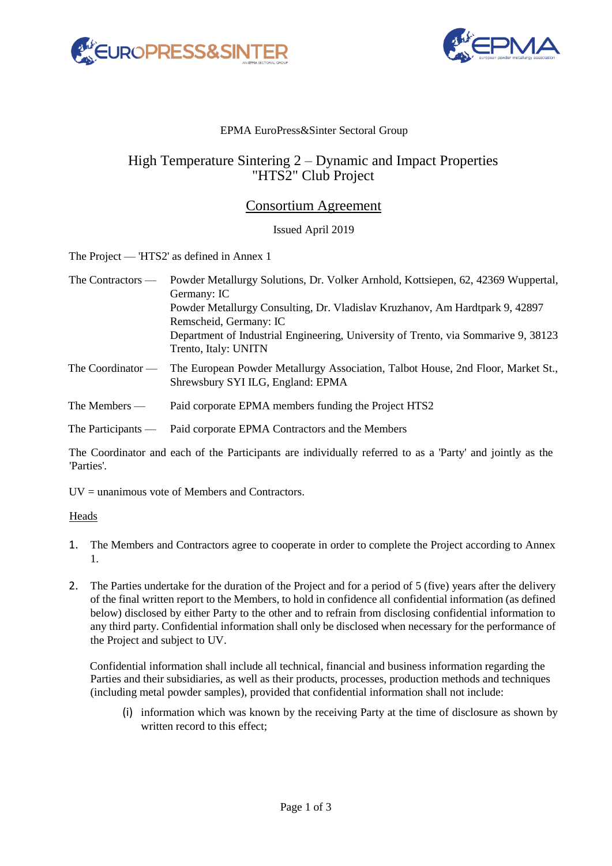



### EPMA EuroPress&Sinter Sectoral Group

# High Temperature Sintering 2 – Dynamic and Impact Properties "HTS2" Club Project

## Consortium Agreement

#### Issued April 2019

The Project — 'HTS2' as defined in Annex 1

| The Contractors —    | Powder Metallurgy Solutions, Dr. Volker Arnhold, Kottsiepen, 62, 42369 Wuppertal,<br>Germany: IC                      |
|----------------------|-----------------------------------------------------------------------------------------------------------------------|
|                      | Powder Metallurgy Consulting, Dr. Vladislav Kruzhanov, Am Hardtpark 9, 42897<br>Remscheid, Germany: IC                |
|                      | Department of Industrial Engineering, University of Trento, via Sommarive 9, 38123<br>Trento, Italy: UNITN            |
| The Coordinator $-$  | The European Powder Metallurgy Association, Talbot House, 2nd Floor, Market St.,<br>Shrewsbury SYI ILG, England: EPMA |
| The Members —        | Paid corporate EPMA members funding the Project HTS2                                                                  |
| The Participants $-$ | Paid corporate EPMA Contractors and the Members                                                                       |

The Coordinator and each of the Participants are individually referred to as a 'Party' and jointly as the 'Parties'.

 $UV =$  unanimous vote of Members and Contractors.

#### Heads

- 1. The Members and Contractors agree to cooperate in order to complete the Project according to Annex 1.
- 2. The Parties undertake for the duration of the Project and for a period of 5 (five) years after the delivery of the final written report to the Members, to hold in confidence all confidential information (as defined below) disclosed by either Party to the other and to refrain from disclosing confidential information to any third party. Confidential information shall only be disclosed when necessary for the performance of the Project and subject to UV.

Confidential information shall include all technical, financial and business information regarding the Parties and their subsidiaries, as well as their products, processes, production methods and techniques (including metal powder samples), provided that confidential information shall not include:

(i) information which was known by the receiving Party at the time of disclosure as shown by written record to this effect;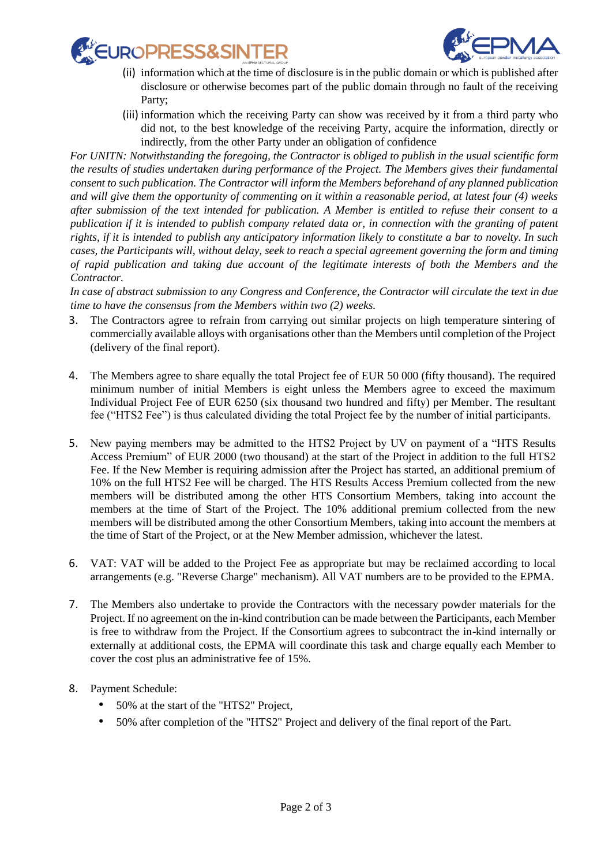



- (ii) information which at the time of disclosure is in the public domain or which is published after disclosure or otherwise becomes part of the public domain through no fault of the receiving Party;
- (iii) information which the receiving Party can show was received by it from a third party who did not, to the best knowledge of the receiving Party, acquire the information, directly or indirectly, from the other Party under an obligation of confidence

*For UNITN: Notwithstanding the foregoing, the Contractor is obliged to publish in the usual scientific form the results of studies undertaken during performance of the Project. The Members gives their fundamental consent to such publication. The Contractor will inform the Members beforehand of any planned publication and will give them the opportunity of commenting on it within a reasonable period, at latest four (4) weeks after submission of the text intended for publication. A Member is entitled to refuse their consent to a publication if it is intended to publish company related data or, in connection with the granting of patent rights, if it is intended to publish any anticipatory information likely to constitute a bar to novelty. In such cases, the Participants will, without delay, seek to reach a special agreement governing the form and timing of rapid publication and taking due account of the legitimate interests of both the Members and the Contractor.*

*In case of abstract submission to any Congress and Conference, the Contractor will circulate the text in due time to have the consensus from the Members within two (2) weeks.*

- 3. The Contractors agree to refrain from carrying out similar projects on high temperature sintering of commercially available alloys with organisations other than the Members until completion of the Project (delivery of the final report).
- 4. The Members agree to share equally the total Project fee of EUR 50 000 (fifty thousand). The required minimum number of initial Members is eight unless the Members agree to exceed the maximum Individual Project Fee of EUR 6250 (six thousand two hundred and fifty) per Member. The resultant fee ("HTS2 Fee") is thus calculated dividing the total Project fee by the number of initial participants.
- 5. New paying members may be admitted to the HTS2 Project by UV on payment of a "HTS Results Access Premium" of EUR 2000 (two thousand) at the start of the Project in addition to the full HTS2 Fee. If the New Member is requiring admission after the Project has started, an additional premium of 10% on the full HTS2 Fee will be charged. The HTS Results Access Premium collected from the new members will be distributed among the other HTS Consortium Members, taking into account the members at the time of Start of the Project. The 10% additional premium collected from the new members will be distributed among the other Consortium Members, taking into account the members at the time of Start of the Project, or at the New Member admission, whichever the latest.
- 6. VAT: VAT will be added to the Project Fee as appropriate but may be reclaimed according to local arrangements (e.g. "Reverse Charge" mechanism). All VAT numbers are to be provided to the EPMA.
- 7. The Members also undertake to provide the Contractors with the necessary powder materials for the Project. If no agreement on the in-kind contribution can be made between the Participants, each Member is free to withdraw from the Project. If the Consortium agrees to subcontract the in-kind internally or externally at additional costs, the EPMA will coordinate this task and charge equally each Member to cover the cost plus an administrative fee of 15%.
- 8. Payment Schedule:
	- 50% at the start of the "HTS2" Project,
	- 50% after completion of the "HTS2" Project and delivery of the final report of the Part.